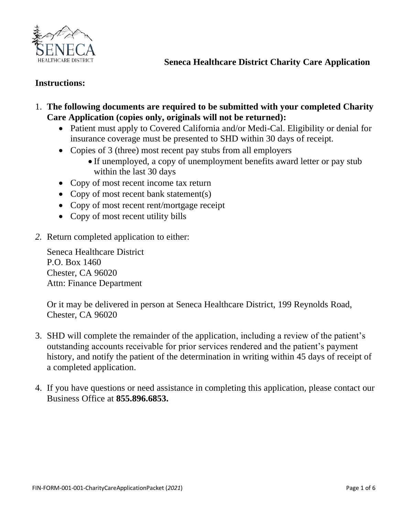

# **Instructions:**

- 1. **The following documents are required to be submitted with your completed Charity Care Application (copies only, originals will not be returned):**
	- Patient must apply to Covered California and/or Medi-Cal. Eligibility or denial for insurance coverage must be presented to SHD within 30 days of receipt.
	- Copies of 3 (three) most recent pay stubs from all employers
		- If unemployed, a copy of unemployment benefits award letter or pay stub within the last 30 days
	- Copy of most recent income tax return
	- Copy of most recent bank statement(s)
	- Copy of most recent rent/mortgage receipt
	- Copy of most recent utility bills
- *2.* Return completed application to either:

Seneca Healthcare District P.O. Box 1460 Chester, CA 96020 Attn: Finance Department

Or it may be delivered in person at Seneca Healthcare District, 199 Reynolds Road, Chester, CA 96020

- 3. SHD will complete the remainder of the application, including a review of the patient's outstanding accounts receivable for prior services rendered and the patient's payment history, and notify the patient of the determination in writing within 45 days of receipt of a completed application.
- 4. If you have questions or need assistance in completing this application, please contact our Business Office at **855.896.6853.**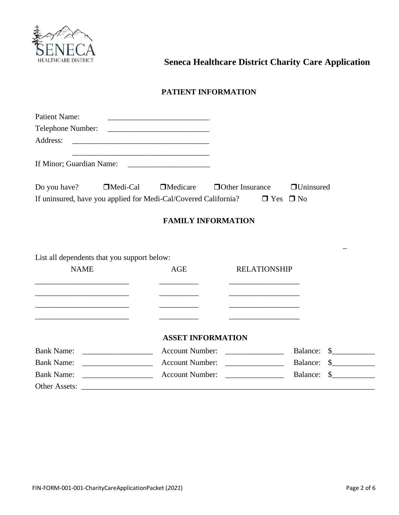

### **PATIENT INFORMATION**

| <b>Patient Name:</b>                                                                                                  |                                                                 | the control of the control of the control of the control of the control of the control of                            |                                         |                          |               |
|-----------------------------------------------------------------------------------------------------------------------|-----------------------------------------------------------------|----------------------------------------------------------------------------------------------------------------------|-----------------------------------------|--------------------------|---------------|
| Telephone Number:                                                                                                     |                                                                 |                                                                                                                      |                                         |                          |               |
| Address:                                                                                                              |                                                                 |                                                                                                                      |                                         |                          |               |
|                                                                                                                       |                                                                 | <u> 1989 - Johann John Stone, markin film yn y brenin y brenin y brenin y brenin y brenin y brenin y brenin y br</u> |                                         |                          |               |
| Do you have?                                                                                                          | □Medi-Cal                                                       | $\Box$ Medicare                                                                                                      | <b>Other Insurance</b>                  | <b>Uninsured</b>         |               |
|                                                                                                                       | If uninsured, have you applied for Medi-Cal/Covered California? |                                                                                                                      |                                         | $\Box$ Yes $\Box$ No     |               |
|                                                                                                                       |                                                                 |                                                                                                                      | <b>FAMILY INFORMATION</b>               |                          |               |
| <b>NAME</b>                                                                                                           | List all dependents that you support below:                     | AGE                                                                                                                  | <b>RELATIONSHIP</b>                     |                          |               |
|                                                                                                                       |                                                                 |                                                                                                                      |                                         |                          |               |
| <u> 1989 - Johann Barbara, martin amerikan basal dan berasal dan berasal dalam basal dalam basal dalam basal dala</u> |                                                                 |                                                                                                                      |                                         |                          |               |
| <u> 1989 - Johann Stoff, Amerikaansk politiker (</u>                                                                  |                                                                 |                                                                                                                      |                                         |                          |               |
|                                                                                                                       |                                                                 |                                                                                                                      | <b>ASSET INFORMATION</b>                |                          |               |
| <b>Bank Name:</b>                                                                                                     |                                                                 | <b>Account Number:</b>                                                                                               |                                         | Balance:                 | $\frac{1}{2}$ |
| <b>Bank Name:</b>                                                                                                     |                                                                 | <b>Account Number:</b>                                                                                               |                                         | Balance:                 | $\frac{1}{2}$ |
| <b>Bank Name:</b>                                                                                                     |                                                                 | <b>Account Number:</b>                                                                                               | <u> 1989 - Johann Barbara, martxa a</u> | Balance:<br>$\mathbb{S}$ |               |
|                                                                                                                       |                                                                 |                                                                                                                      |                                         |                          |               |
|                                                                                                                       |                                                                 |                                                                                                                      |                                         |                          |               |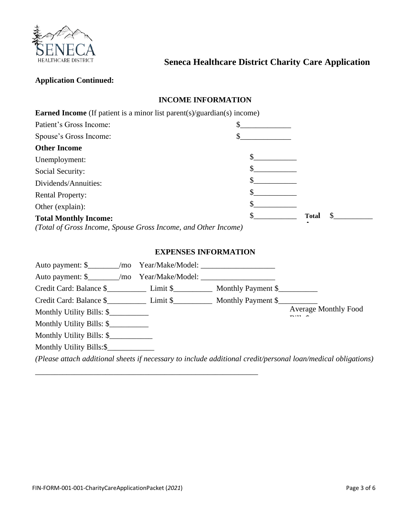

### **Application Continued:**

# **INCOME INFORMATION**

| <b>Earned Income</b> (If patient is a minor list parent(s)/guardian(s) income) |              |  |
|--------------------------------------------------------------------------------|--------------|--|
| Patient's Gross Income:                                                        |              |  |
| Spouse's Gross Income:                                                         |              |  |
| <b>Other Income</b>                                                            |              |  |
| Unemployment:                                                                  |              |  |
| Social Security:                                                               |              |  |
| Dividends/Annuities:                                                           |              |  |
| <b>Rental Property:</b>                                                        |              |  |
| Other (explain):                                                               |              |  |
| <b>Total Monthly Income:</b>                                                   | <b>Total</b> |  |
| (Total of Gross Income, Spouse Gross Income, and Other Income)                 |              |  |

### **EXPENSES INFORMATION**

| Credit Card: Balance \$ Limit \$ Monthly Payment \$ |  |                                                                                                               |
|-----------------------------------------------------|--|---------------------------------------------------------------------------------------------------------------|
| Monthly Utility Bills: \$                           |  | <b>Average Monthly Food</b>                                                                                   |
| Monthly Utility Bills: \$                           |  |                                                                                                               |
| Monthly Utility Bills: \$                           |  |                                                                                                               |
| Monthly Utility Bills:\$                            |  |                                                                                                               |
|                                                     |  | (Please attach additional sheets if necessary to include additional credit/personal loan/medical obligations) |

\_\_\_\_\_\_\_\_\_\_\_\_\_\_\_\_\_\_\_\_\_\_\_\_\_\_\_\_\_\_\_\_\_\_\_\_\_\_\_\_\_\_\_\_\_\_\_\_\_\_\_\_\_\_\_\_\_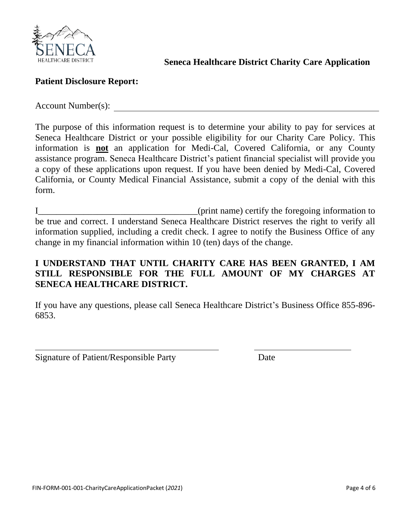

# **Patient Disclosure Report:**

Account Number(s):

The purpose of this information request is to determine your ability to pay for services at Seneca Healthcare District or your possible eligibility for our Charity Care Policy. This information is **not** an application for Medi-Cal, Covered California, or any County assistance program. Seneca Healthcare District's patient financial specialist will provide you a copy of these applications upon request. If you have been denied by Medi-Cal, Covered California, or County Medical Financial Assistance, submit a copy of the denial with this form.

I\_\_\_\_\_\_\_\_\_\_\_\_\_\_\_\_\_\_\_\_\_\_\_\_\_\_\_\_\_\_\_\_\_\_\_(print name) certify the foregoing information to be true and correct. I understand Seneca Healthcare District reserves the right to verify all information supplied, including a credit check. I agree to notify the Business Office of any change in my financial information within 10 (ten) days of the change.

# **I UNDERSTAND THAT UNTIL CHARITY CARE HAS BEEN GRANTED, I AM STILL RESPONSIBLE FOR THE FULL AMOUNT OF MY CHARGES AT SENECA HEALTHCARE DISTRICT.**

If you have any questions, please call Seneca Healthcare District's Business Office 855-896- 6853.

Signature of Patient/Responsible Party Date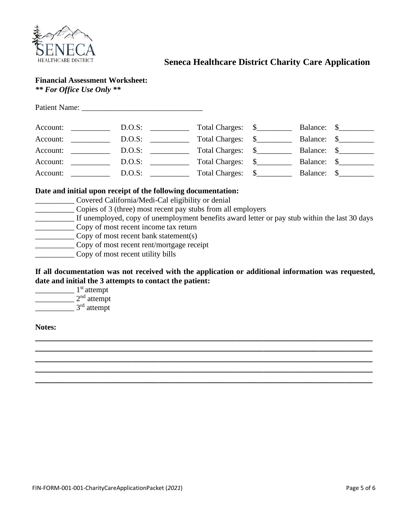

# **Financial Assessment Worksheet:**

*\*\* For Office Use Only \*\**

| Account: |                                       |        | D.O.S: | Total Charges: \$ |             | Balance: \$ |
|----------|---------------------------------------|--------|--------|-------------------|-------------|-------------|
| Account: |                                       | D.O.S: |        | Total Charges: \$ | Balance: \$ |             |
| Account: | <u> 1990 - Jan Jawa</u>               |        | D.O.S: | Total Charges: \$ |             | Balance: \$ |
| Account: | <u> 1990 - Jan Jawa</u>               |        | D.O.S: | Total Charges: \$ | Balance: \$ |             |
| Account: | <u> a shekara ta 1999 a shekara t</u> |        | D.O.S: | Total Charges: \$ | Balance: \$ |             |

### **Date and initial upon receipt of the following documentation:**

- \_\_\_\_\_\_\_\_\_\_ Covered California/Medi-Cal eligibility or denial
- \_\_\_\_\_\_\_\_\_\_ Copies of 3 (three) most recent pay stubs from all employers
- \_\_\_\_\_\_\_\_\_\_ If unemployed, copy of unemployment benefits award letter or pay stub within the last 30 days
- \_\_\_\_\_\_\_\_\_\_ Copy of most recent income tax return
- \_\_\_\_\_\_\_\_\_\_ Copy of most recent bank statement(s)
- \_\_\_\_\_\_\_\_\_\_ Copy of most recent rent/mortgage receipt
- \_\_\_\_\_\_\_\_\_\_ Copy of most recent utility bills

**If all documentation was not received with the application or additional information was requested, date and initial the 3 attempts to contact the patient:**

**\_\_\_\_\_\_\_\_\_\_\_\_\_\_\_\_\_\_\_\_\_\_\_\_\_\_\_\_\_\_\_\_\_\_\_\_\_\_\_\_\_\_\_\_\_\_\_\_\_\_\_\_\_\_\_\_\_\_\_\_\_\_\_\_\_\_\_\_\_\_\_\_\_\_ \_\_\_\_\_\_\_\_\_\_\_\_\_\_\_\_\_\_\_\_\_\_\_\_\_\_\_\_\_\_\_\_\_\_\_\_\_\_\_\_\_\_\_\_\_\_\_\_\_\_\_\_\_\_\_\_\_\_\_\_\_\_\_\_\_\_\_\_\_\_\_\_\_\_ \_\_\_\_\_\_\_\_\_\_\_\_\_\_\_\_\_\_\_\_\_\_\_\_\_\_\_\_\_\_\_\_\_\_\_\_\_\_\_\_\_\_\_\_\_\_\_\_\_\_\_\_\_\_\_\_\_\_\_\_\_\_\_\_\_\_\_\_\_\_\_\_\_\_ \_\_\_\_\_\_\_\_\_\_\_\_\_\_\_\_\_\_\_\_\_\_\_\_\_\_\_\_\_\_\_\_\_\_\_\_\_\_\_\_\_\_\_\_\_\_\_\_\_\_\_\_\_\_\_\_\_\_\_\_\_\_\_\_\_\_\_\_\_\_\_\_\_\_ \_\_\_\_\_\_\_\_\_\_\_\_\_\_\_\_\_\_\_\_\_\_\_\_\_\_\_\_\_\_\_\_\_\_\_\_\_\_\_\_\_\_\_\_\_\_\_\_\_\_\_\_\_\_\_\_\_\_\_\_\_\_\_\_\_\_\_\_\_\_\_\_\_\_**

 $\frac{1}{s}$  1<sup>st</sup> attempt  $2<sup>nd</sup>$  attempt  $\frac{1}{3^{rd}}$  attempt

#### **Notes:**